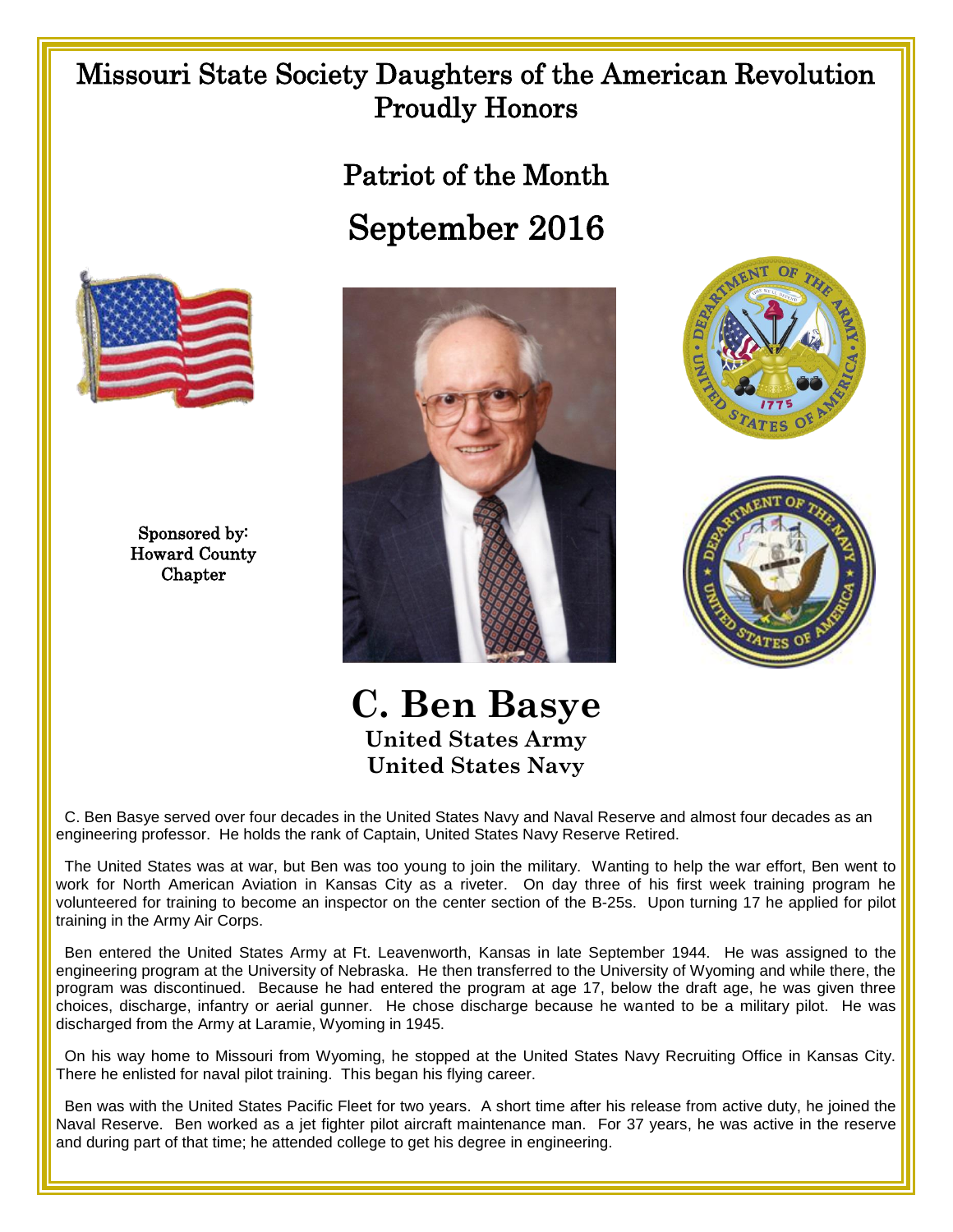## Missouri State Society Daughters of the American Revolution Proudly Honors

Patriot of the Month September 2016



Sponsored by: Howard County Chapter







**C. Ben Basye United States Army United States Navy**

 C. Ben Basye served over four decades in the United States Navy and Naval Reserve and almost four decades as an engineering professor. He holds the rank of Captain, United States Navy Reserve Retired.

 The United States was at war, but Ben was too young to join the military. Wanting to help the war effort, Ben went to work for North American Aviation in Kansas City as a riveter. On day three of his first week training program he volunteered for training to become an inspector on the center section of the B-25s. Upon turning 17 he applied for pilot training in the Army Air Corps.

 Ben entered the United States Army at Ft. Leavenworth, Kansas in late September 1944. He was assigned to the engineering program at the University of Nebraska. He then transferred to the University of Wyoming and while there, the program was discontinued. Because he had entered the program at age 17, below the draft age, he was given three choices, discharge, infantry or aerial gunner. He chose discharge because he wanted to be a military pilot. He was discharged from the Army at Laramie, Wyoming in 1945.

 On his way home to Missouri from Wyoming, he stopped at the United States Navy Recruiting Office in Kansas City. There he enlisted for naval pilot training. This began his flying career.

 Ben was with the United States Pacific Fleet for two years. A short time after his release from active duty, he joined the Naval Reserve. Ben worked as a jet fighter pilot aircraft maintenance man. For 37 years, he was active in the reserve and during part of that time; he attended college to get his degree in engineering.